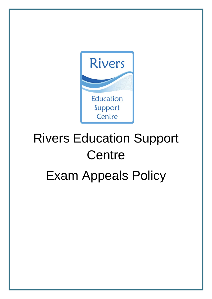

# Rivers Education Support **Centre** Exam Appeals Policy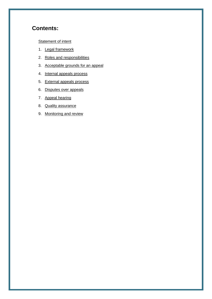## **Contents:**

**[Statement of intent](#page-2-0)** 

- 1. [Legal framework](#page-2-1)
- 2. [Roles and responsibilities](#page-3-0)
- 3. [Acceptable grounds for an appeal](#page-4-0)
- 4. [Internal appeals process](#page-4-1)
- 5. [External appeals process](#page-5-0)
- 6. [Disputes over](#page-7-0) appeals
- 7. [Appeal hearing](#page-7-1)
- 8. [Quality assurance](#page-8-0)
- 9. [Monitoring and review](#page-8-1)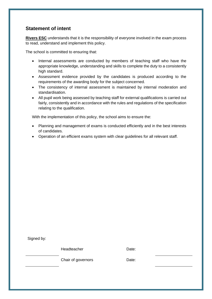## <span id="page-2-0"></span>**Statement of intent**

**Rivers ESC** understands that it is the responsibility of everyone involved in the exam process to read, understand and implement this policy.

The school is committed to ensuring that:

- Internal assessments are conducted by members of teaching staff who have the appropriate knowledge, understanding and skills to complete the duty to a consistently high standard.
- Assessment evidence provided by the candidates is produced according to the requirements of the awarding body for the subject concerned.
- The consistency of internal assessment is maintained by internal moderation and standardisation.
- All pupil work being assessed by teaching staff for external qualifications is carried out fairly, consistently and in accordance with the rules and regulations of the specification relating to the qualification.

With the implementation of this policy, the school aims to ensure the:

- Planning and management of exams is conducted efficiently and in the best interests of candidates.
- Operation of an efficient exams system with clear guidelines for all relevant staff.

<span id="page-2-1"></span>Signed by:

Headteacher **Date:** 

Chair of governors **Date:**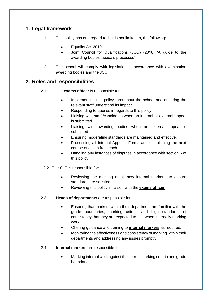## **1. Legal framework**

- 1.1. This policy has due regard to, but is not limited to, the following:
	- Equality Act 2010
		- Joint Council for Qualifications (JCQ) (2018) 'A guide to the awarding bodies' appeals processes'
- 1.2. The school will comply with legislation in accordance with examination awarding bodies and the JCQ.

## <span id="page-3-0"></span>**2. Roles and responsibilities**

- 2.1. The **exams officer** is responsible for:
	- Implementing this policy throughout the school and ensuring the relevant staff understand its impact.
	- Responding to queries in regards to this policy.
	- Liaising with staff /candidates when an internal or external appeal is submitted.
	- Liaising with awarding bodies when an external appeal is submitted.
	- Ensuring moderating standards are maintained and effective.
	- Processing all [Internal Appeals Forms](#page-9-0) and establishing the next course of action from each.
	- Handling any instances of disputes in accordance with [section 6](#page-7-0) of this policy.
	- 2.2. The **SLT** is responsible for:
		- Reviewing the marking of all new internal markers, to ensure standards are satisfied.
		- Reviewing this policy in liaison with the **exams officer**.
- 2.3. **Heads of departments** are responsible for:
	- Ensuring that markers within their department are familiar with the grade boundaries, marking criteria and high standards of consistency that they are expected to use when internally marking work.
	- Offering guidance and training to **internal markers** as required.
	- Monitoring the effectiveness and consistency of marking within their departments and addressing any issues promptly.
- 2.4. **Internal markers** are responsible for:
	- Marking internal work against the correct marking criteria and grade boundaries.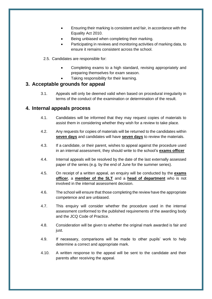- Ensuring their marking is consistent and fair, in accordance with the Equality Act 2010.
- Being unbiased when completing their marking.
- Participating in reviews and monitoring activities of marking data, to ensure it remains consistent across the school.
- 2.5. Candidates are responsible for:
	- Completing exams to a high standard, revising appropriately and preparing themselves for exam season.
	- Taking responsibility for their learning.

## <span id="page-4-0"></span>**3. Acceptable grounds for appeal**

3.1. Appeals will only be deemed valid when based on procedural irregularity in terms of the conduct of the examination or determination of the result.

## <span id="page-4-1"></span>**4. Internal appeals process**

- 4.1. Candidates will be informed that they may request copies of materials to assist them in considering whether they wish for a review to take place.
- 4.2. Any requests for copies of materials will be returned to the candidates within **seven days** and candidates will have **seven days** to review the materials.
- 4.3. If a candidate, or their parent, wishes to appeal against the procedure used in an internal assessment, they should write to the school's **exams officer**
- 4.4. Internal appeals will be resolved by the date of the last externally assessed paper of the series (e.g. by the end of June for the summer series).
- 4.5. On receipt of a written appeal, an enquiry will be conducted by the **exams officer**, a **member of the SLT** and a **head of department** who is not involved in the internal assessment decision.
- 4.6. The school will ensure that those completing the review have the appropriate competence and are unbiased.
- 4.7. This enquiry will consider whether the procedure used in the internal assessment conformed to the published requirements of the awarding body and the JCQ Code of Practice.
- 4.8. Consideration will be given to whether the original mark awarded is fair and just.
- 4.9. If necessary, comparisons will be made to other pupils' work to help determine a correct and appropriate mark.
- 4.10. A written response to the appeal will be sent to the candidate and their parents after receiving the appeal.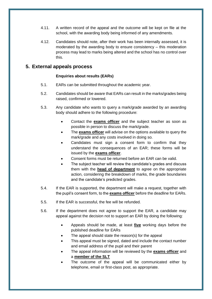- 4.11. A written record of the appeal and the outcome will be kept on file at the school, with the awarding body being informed of any amendments.
- 4.12. Candidates should note, after their work has been internally assessed, it is moderated by the awarding body to ensure consistency – this moderation process may lead to marks being altered and the school has no control over this.

## <span id="page-5-0"></span>**5. External appeals process**

#### **Enquiries about results (EARs)**

- 5.1. EARs can be submitted throughout the academic year.
- 5.2. Candidates should be aware that EARs can result in the marks/grades being raised, confirmed or lowered.
- 5.3. Any candidate who wants to query a mark/grade awarded by an awarding body should adhere to the following procedure:
	- Contact the **exams officer** and the subject teacher as soon as possible in person to discuss the mark/grade.
	- The **exams officer** will advise on the options available to query the mark/grade and any costs involved in doing so.
	- Candidates must sign a consent form to confirm that they understand the consequences of an EAR; these forms will be issued by the **exams officer**.
	- Consent forms must be returned before an EAR can be valid.
	- The subject teacher will review the candidate's grades and discuss them with the **head of department** to agree on the appropriate action, considering the breakdown of marks, the grade boundaries and the candidate's predicted grades.
- 5.4. If the EAR is supported, the department will make a request, together with the pupil's consent form, to the **exams officer** before the deadline for EARs.
- 5.5. If the EAR is successful, the fee will be refunded.
- 5.6. If the department does not agree to support the EAR, a candidate may appeal against the decision not to support an EAR by doing the following:
	- Appeals should be made, at least **five** working days before the published deadline for EARs
	- The appeal should state the reason(s) for the appeal
	- This appeal must be signed, dated and include the contact number and email address of the pupil and their parent
	- The appeal information will be reviewed by the **exams officer** and a **member of the SLT**
	- The outcome of the appeal will be communicated either by telephone, email or first-class post, as appropriate.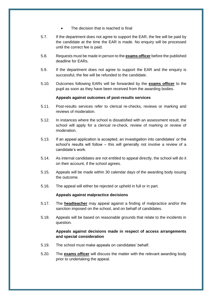- The decision that is reached is final
- 5.7. If the department does not agree to support the EAR, the fee will be paid by the candidate at the time the EAR is made. No enquiry will be processed until the correct fee is paid.
- 5.8. Requests must be made in person to the **exams officer** before the published deadline for EARs.
- 5.9. If the department does not agree to support the EAR and the enquiry is successful, the fee will be refunded to the candidate.
- 5.10. Outcomes following EARs will be forwarded by the **exams officer** to the pupil as soon as they have been received from the awarding bodies.

#### **Appeals against outcomes of post-results services**

- 5.11. Post-results services refer to clerical re-checks, reviews or marking and reviews of moderation.
- 5.12. In instances where the school is dissatisfied with an assessment result, the school will apply for a clerical re-check, review of marking or review of moderation.
- 5.13. If an appeal application is accepted, an investigation into candidates' or the school's results will follow – this will generally not involve a review of a candidate's work.
- 5.14. As internal candidates are not entitled to appeal directly, the school will do it on their account, if the school agrees.
- 5.15. Appeals will be made within 30 calendar days of the awarding body issuing the outcome.
- 5.16. The appeal will either be rejected or upheld in full or in part.

#### **Appeals against malpractice decisions**

- 5.17. The **headteacher** may appeal against a finding of malpractice and/or the sanction imposed on the school, and on behalf of candidates.
- 5.18. Appeals will be based on reasonable grounds that relate to the incidents in question.

#### **Appeals against decisions made in respect of access arrangements and special consideration**

- 5.19. The school must make appeals on candidates' behalf.
- 5.20. The **exams officer** will discuss the matter with the relevant awarding body prior to undertaking the appeal.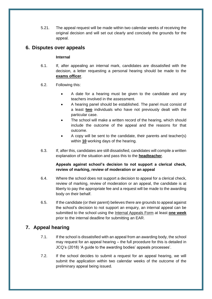5.21. The appeal request will be made within two calendar weeks of receiving the original decision and will set out clearly and concisely the grounds for the appeal.

## <span id="page-7-0"></span>**6. Disputes over appeals**

#### **Internal**

- 6.1. If, after appealing an internal mark, candidates are dissatisfied with the decision, a letter requesting a personal hearing should be made to the **exams officer**.
- 6.2. Following this:
	- A date for a hearing must be given to the candidate and any teachers involved in the assessment.
	- A hearing panel should be established. The panel must consist of a least **two** individuals who have not previously dealt with the particular case.
	- The school will make a written record of the hearing, which should include the outcome of the appeal and the reasons for that outcome.
	- A copy will be sent to the candidate, their parents and teacher(s) within **10** working days of the hearing.
- 6.3. If, after this, candidates are still dissatisfied, candidates will compile a written explanation of the situation and pass this to the **headteacher**.

#### **Appeals against school's decision to not support a clerical check, review of marking, review of moderation or an appeal**

- 6.4. Where the school does not support a decision to appeal for a clerical check, review of marking, review of moderation or an appeal, the candidate is at liberty to pay the appropriate fee and a request will be made to the awarding body on their behalf.
- 6.5. If the candidate (or their parent) believes there are grounds to appeal against the school's decision to not support an enquiry, an internal appeal can be submitted to the school using the [Internal Appeals Form](#page-9-0) at least **one week** prior to the internal deadline for submitting an EAR.

## <span id="page-7-1"></span>**7. Appeal hearing**

- 7.1. If the school is dissatisfied with an appeal from an awarding body, the school may request for an appeal hearing – the full procedure for this is detailed in JCQ's (2018) 'A guide to the awarding bodies' appeals processes'.
- 7.2. If the school decides to submit a request for an appeal hearing, we will submit the application within two calendar weeks of the outcome of the preliminary appeal being issued.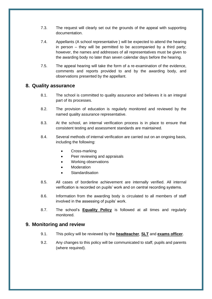- 7.3. The request will clearly set out the grounds of the appeal with supporting documentation.
- 7.4. Appellants (A school representative ) will be expected to attend the hearing in person – they will be permitted to be accompanied by a third party; however, the names and addresses of all representatives must be given to the awarding body no later than seven calendar days before the hearing.
- 7.5. The appeal hearing will take the form of a re-examination of the evidence, comments and reports provided to and by the awarding body, and observations presented by the appellant.

## <span id="page-8-0"></span>**8. Quality assurance**

- 8.1. The school is committed to quality assurance and believes it is an integral part of its processes.
- 8.2. The provision of education is regularly monitored and reviewed by the named quality assurance representative.
- 8.3. At the school, an internal verification process is in place to ensure that consistent testing and assessment standards are maintained.
- 8.4. Several methods of internal verification are carried out on an ongoing basis, including the following:
	- Cross-marking
	- Peer reviewing and appraisals
	- Working observations
	- **Moderation**
	- **Standardisation**
- 8.5. All cases of borderline achievement are internally verified. All internal verification is recorded on pupils' work and on central recording systems.
- 8.6. Information from the awarding body is circulated to all members of staff involved in the assessing of pupils' work.
- 8.7. The school's **Equality Policy** is followed at all times and regularly monitored.

## <span id="page-8-1"></span>**9. Monitoring and review**

- 9.1. This policy will be reviewed by the **headteacher**, **SLT** and **exams officer**.
- 9.2. Any changes to this policy will be communicated to staff, pupils and parents (where required).